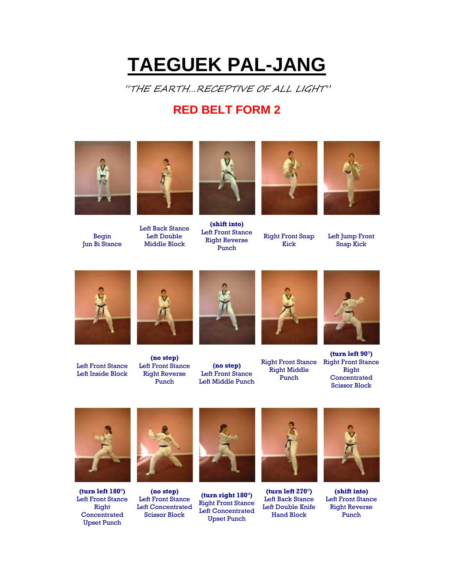## **TAEGUEK PAL-JANG**

"THE EARTH…RECEPTIVE OF ALL LIGHT"

## **RED BELT FORM 2**





Begin Jun Bi Stance

Left Back Stance Left Double Middle Block



**(shift into)** Left Front Stance Right Reverse Punch



Right Front Snap Kick



Left Jump Front Snap Kick



Left Front Stance Left Inside Block



**(no step)** Left Front Stance Right Reverse Punch



**(no step)** Left Front Stance Left Middle Punch



Right Front Stance Right Front Stance Right Middle Punch



**(turn left 90°)** Right **Concentrated** Scissor Block



**(turn left 180°)** Left Front Stance Right **Concentrated** Upset Punch



**(no step)** Left Front Stance Left Concentrated Scissor Block



**(turn right 180°)** Right Front Stance Left Concentrated Upset Punch



**(turn left 270°)** Left Back Stance Left Double Knife Hand Block



**(shift into)** Left Front Stance Right Reverse Punch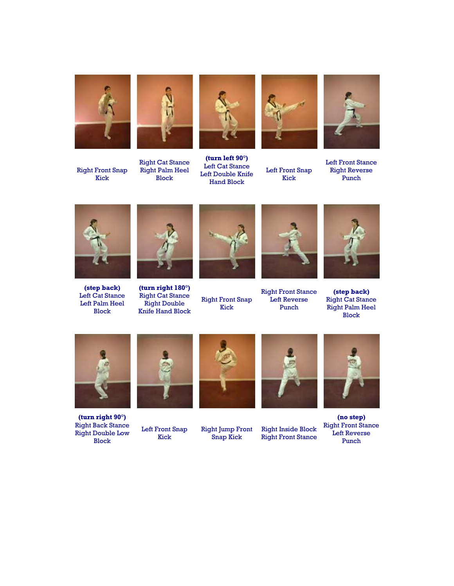

Right Front Snap Kick







**(turn left 90°)** Left Cat Stance Left Double Knife Hand Block



Left Front Snap Kick



Left Front Stance Right Reverse Punch



**(step back)** Left Cat Stance Left Palm Heel Block



**(turn right 180°)** Right Cat Stance Right Double Knife Hand Block



Right Front Snap Kick



Right Front Stance Left Reverse Punch



**(step back)** Right Cat Stance Right Palm Heel Block



**(turn right 90°)** Right Back Stance Right Double Low Block



Left Front Snap Kick



Right Jump Front Snap Kick



Right Inside Block Right Front Stance



**(no step)** Right Front Stance Left Reverse Punch